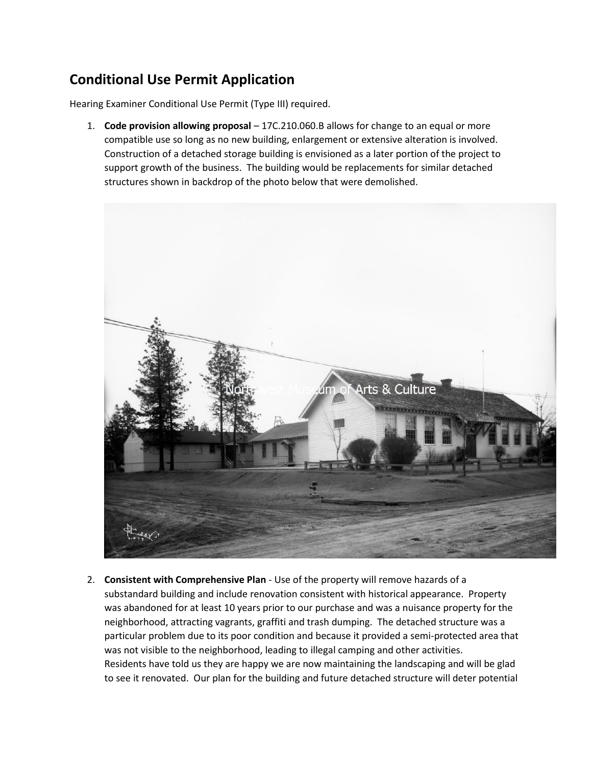## **Conditional Use Permit Application**

Hearing Examiner Conditional Use Permit (Type III) required.

1. **Code provision allowing proposal** – 17C.210.060.B allows for change to an equal or more compatible use so long as no new building, enlargement or extensive alteration is involved. Construction of a detached storage building is envisioned as a later portion of the project to support growth of the business. The building would be replacements for similar detached structures shown in backdrop of the photo below that were demolished.



2. **Consistent with Comprehensive Plan** - Use of the property will remove hazards of a substandard building and include renovation consistent with historical appearance. Property was abandoned for at least 10 years prior to our purchase and was a nuisance property for the neighborhood, attracting vagrants, graffiti and trash dumping. The detached structure was a particular problem due to its poor condition and because it provided a semi-protected area that was not visible to the neighborhood, leading to illegal camping and other activities. Residents have told us they are happy we are now maintaining the landscaping and will be glad to see it renovated. Our plan for the building and future detached structure will deter potential